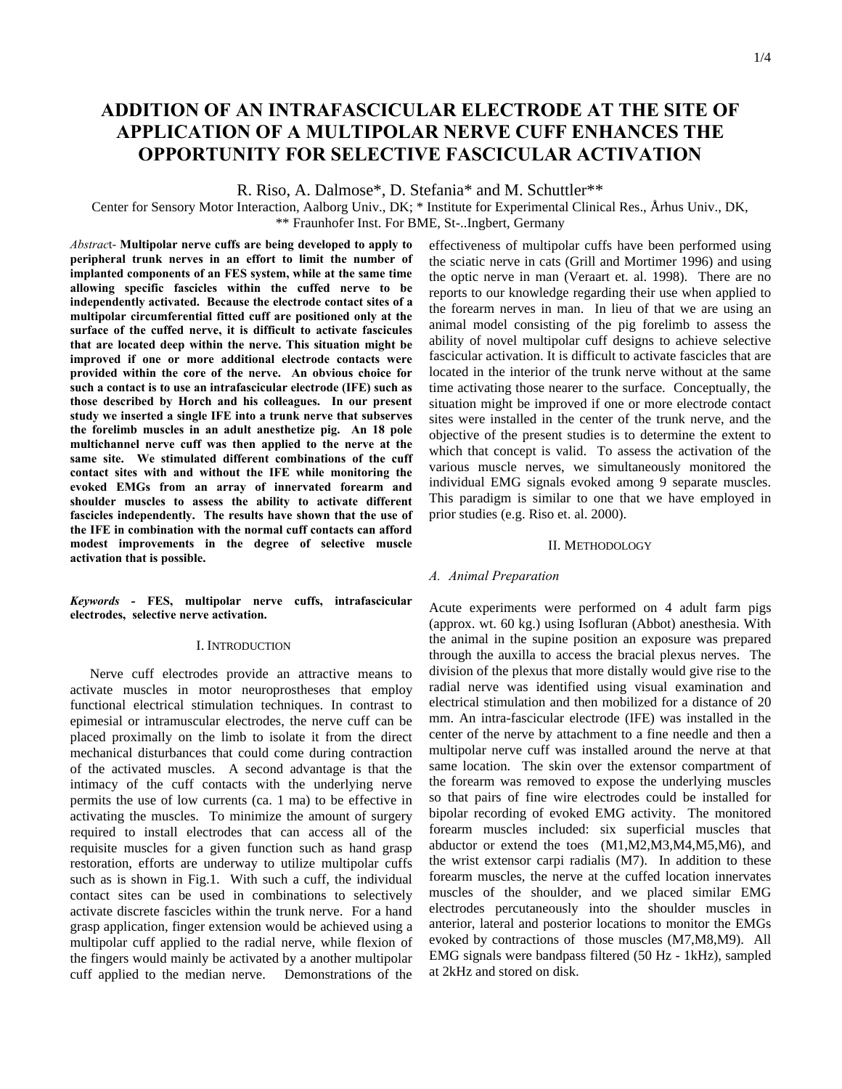# **ADDITION OF AN INTRAFASCICULAR ELECTRODE AT THE SITE OF APPLICATION OF A MULTIPOLAR NERVE CUFF ENHANCES THE OPPORTUNITY FOR SELECTIVE FASCICULAR ACTIVATION**

R. Riso, A. Dalmose\*, D. Stefania\* and M. Schuttler\*\*

Center for Sensory Motor Interaction, Aalborg Univ., DK; \* Institute for Experimental Clinical Res., Århus Univ., DK, \*\* Fraunhofer Inst. For BME, St-..Ingbert, Germany

*Abstrac*t- **Multipolar nerve cuffs are being developed to apply to peripheral trunk nerves in an effort to limit the number of implanted components of an FES system, while at the same time allowing specific fascicles within the cuffed nerve to be independently activated. Because the electrode contact sites of a multipolar circumferential fitted cuff are positioned only at the surface of the cuffed nerve, it is difficult to activate fascicules that are located deep within the nerve. This situation might be improved if one or more additional electrode contacts were provided within the core of the nerve. An obvious choice for such a contact is to use an intrafascicular electrode (IFE) such as those described by Horch and his colleagues. In our present study we inserted a single IFE into a trunk nerve that subserves the forelimb muscles in an adult anesthetize pig. An 18 pole multichannel nerve cuff was then applied to the nerve at the same site. We stimulated different combinations of the cuff contact sites with and without the IFE while monitoring the evoked EMGs from an array of innervated forearm and shoulder muscles to assess the ability to activate different fascicles independently. The results have shown that the use of the IFE in combination with the normal cuff contacts can afford modest improvements in the degree of selective muscle activation that is possible.**

*Keywords -* **FES, multipolar nerve cuffs, intrafascicular electrodes, selective nerve activation.**

# I. INTRODUCTION

Nerve cuff electrodes provide an attractive means to activate muscles in motor neuroprostheses that employ functional electrical stimulation techniques. In contrast to epimesial or intramuscular electrodes, the nerve cuff can be placed proximally on the limb to isolate it from the direct mechanical disturbances that could come during contraction of the activated muscles. A second advantage is that the intimacy of the cuff contacts with the underlying nerve permits the use of low currents (ca. 1 ma) to be effective in activating the muscles. To minimize the amount of surgery required to install electrodes that can access all of the requisite muscles for a given function such as hand grasp restoration, efforts are underway to utilize multipolar cuffs such as is shown in Fig.1. With such a cuff, the individual contact sites can be used in combinations to selectively activate discrete fascicles within the trunk nerve. For a hand grasp application, finger extension would be achieved using a multipolar cuff applied to the radial nerve, while flexion of the fingers would mainly be activated by a another multipolar cuff applied to the median nerve. Demonstrations of the

effectiveness of multipolar cuffs have been performed using the sciatic nerve in cats (Grill and Mortimer 1996) and using the optic nerve in man (Veraart et. al. 1998). There are no reports to our knowledge regarding their use when applied to the forearm nerves in man. In lieu of that we are using an animal model consisting of the pig forelimb to assess the ability of novel multipolar cuff designs to achieve selective fascicular activation. It is difficult to activate fascicles that are located in the interior of the trunk nerve without at the same time activating those nearer to the surface. Conceptually, the situation might be improved if one or more electrode contact sites were installed in the center of the trunk nerve, and the objective of the present studies is to determine the extent to which that concept is valid. To assess the activation of the various muscle nerves, we simultaneously monitored the individual EMG signals evoked among 9 separate muscles. This paradigm is similar to one that we have employed in prior studies (e.g. Riso et. al. 2000).

#### II. METHODOLOGY

## *A. Animal Preparation*

Acute experiments were performed on 4 adult farm pigs (approx. wt. 60 kg.) using Isofluran (Abbot) anesthesia. With the animal in the supine position an exposure was prepared through the auxilla to access the bracial plexus nerves. The division of the plexus that more distally would give rise to the radial nerve was identified using visual examination and electrical stimulation and then mobilized for a distance of 20 mm. An intra-fascicular electrode (IFE) was installed in the center of the nerve by attachment to a fine needle and then a multipolar nerve cuff was installed around the nerve at that same location. The skin over the extensor compartment of the forearm was removed to expose the underlying muscles so that pairs of fine wire electrodes could be installed for bipolar recording of evoked EMG activity. The monitored forearm muscles included: six superficial muscles that abductor or extend the toes (M1,M2,M3,M4,M5,M6), and the wrist extensor carpi radialis (M7). In addition to these forearm muscles, the nerve at the cuffed location innervates muscles of the shoulder, and we placed similar EMG electrodes percutaneously into the shoulder muscles in anterior, lateral and posterior locations to monitor the EMGs evoked by contractions of those muscles (M7,M8,M9). All EMG signals were bandpass filtered (50 Hz - 1kHz), sampled at 2kHz and stored on disk.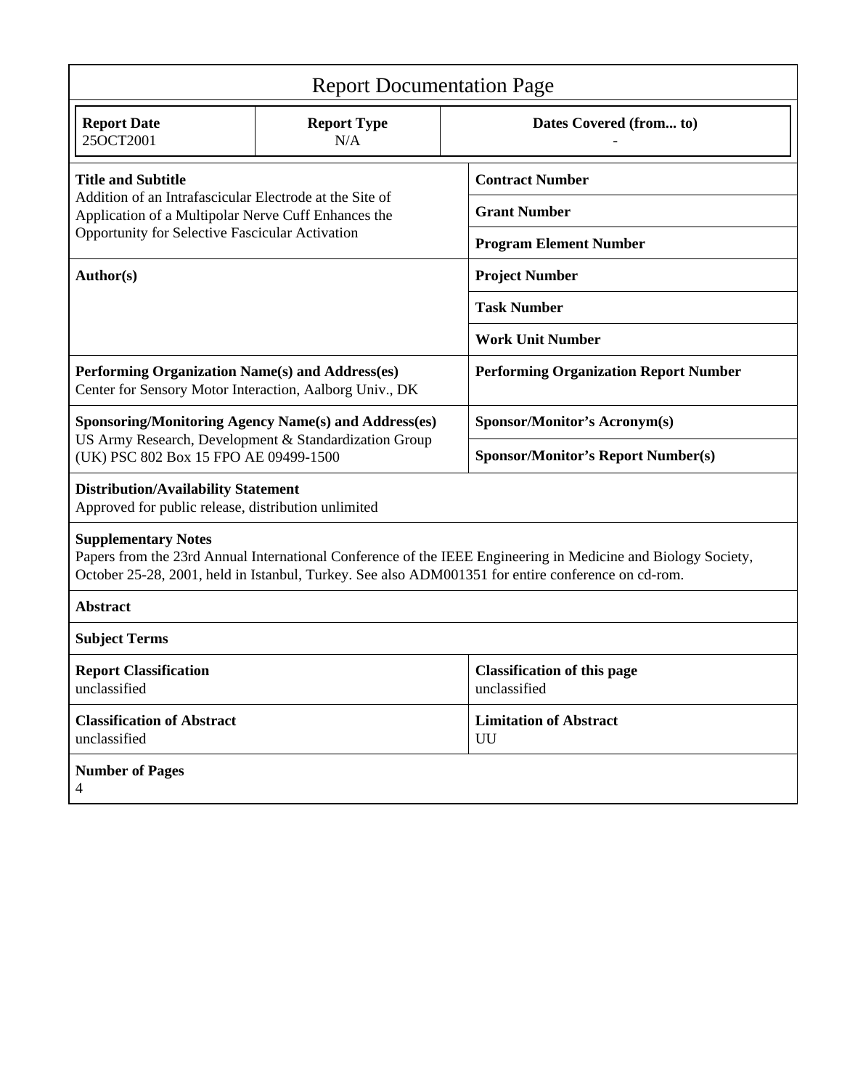| <b>Report Documentation Page</b>                                                                                                                                                                                                                  |                           |                                                    |
|---------------------------------------------------------------------------------------------------------------------------------------------------------------------------------------------------------------------------------------------------|---------------------------|----------------------------------------------------|
| <b>Report Date</b><br>25OCT2001                                                                                                                                                                                                                   | <b>Report Type</b><br>N/A | Dates Covered (from to)                            |
| <b>Title and Subtitle</b><br>Addition of an Intrafascicular Electrode at the Site of<br>Application of a Multipolar Nerve Cuff Enhances the<br>Opportunity for Selective Fascicular Activation                                                    |                           | <b>Contract Number</b>                             |
|                                                                                                                                                                                                                                                   |                           | <b>Grant Number</b>                                |
|                                                                                                                                                                                                                                                   |                           | <b>Program Element Number</b>                      |
| Author(s)                                                                                                                                                                                                                                         |                           | <b>Project Number</b>                              |
|                                                                                                                                                                                                                                                   |                           | <b>Task Number</b>                                 |
|                                                                                                                                                                                                                                                   |                           | <b>Work Unit Number</b>                            |
| Performing Organization Name(s) and Address(es)<br>Center for Sensory Motor Interaction, Aalborg Univ., DK                                                                                                                                        |                           | <b>Performing Organization Report Number</b>       |
| <b>Sponsoring/Monitoring Agency Name(s) and Address(es)</b><br>US Army Research, Development & Standardization Group<br>(UK) PSC 802 Box 15 FPO AE 09499-1500                                                                                     |                           | Sponsor/Monitor's Acronym(s)                       |
|                                                                                                                                                                                                                                                   |                           | <b>Sponsor/Monitor's Report Number(s)</b>          |
| <b>Distribution/Availability Statement</b><br>Approved for public release, distribution unlimited                                                                                                                                                 |                           |                                                    |
| <b>Supplementary Notes</b><br>Papers from the 23rd Annual International Conference of the IEEE Engineering in Medicine and Biology Society,<br>October 25-28, 2001, held in Istanbul, Turkey. See also ADM001351 for entire conference on cd-rom. |                           |                                                    |
| <b>Abstract</b>                                                                                                                                                                                                                                   |                           |                                                    |
| <b>Subject Terms</b>                                                                                                                                                                                                                              |                           |                                                    |
| <b>Report Classification</b><br>unclassified                                                                                                                                                                                                      |                           | <b>Classification of this page</b><br>unclassified |
| <b>Classification of Abstract</b><br>unclassified                                                                                                                                                                                                 |                           | <b>Limitation of Abstract</b><br>UU                |
| <b>Number of Pages</b><br>4                                                                                                                                                                                                                       |                           |                                                    |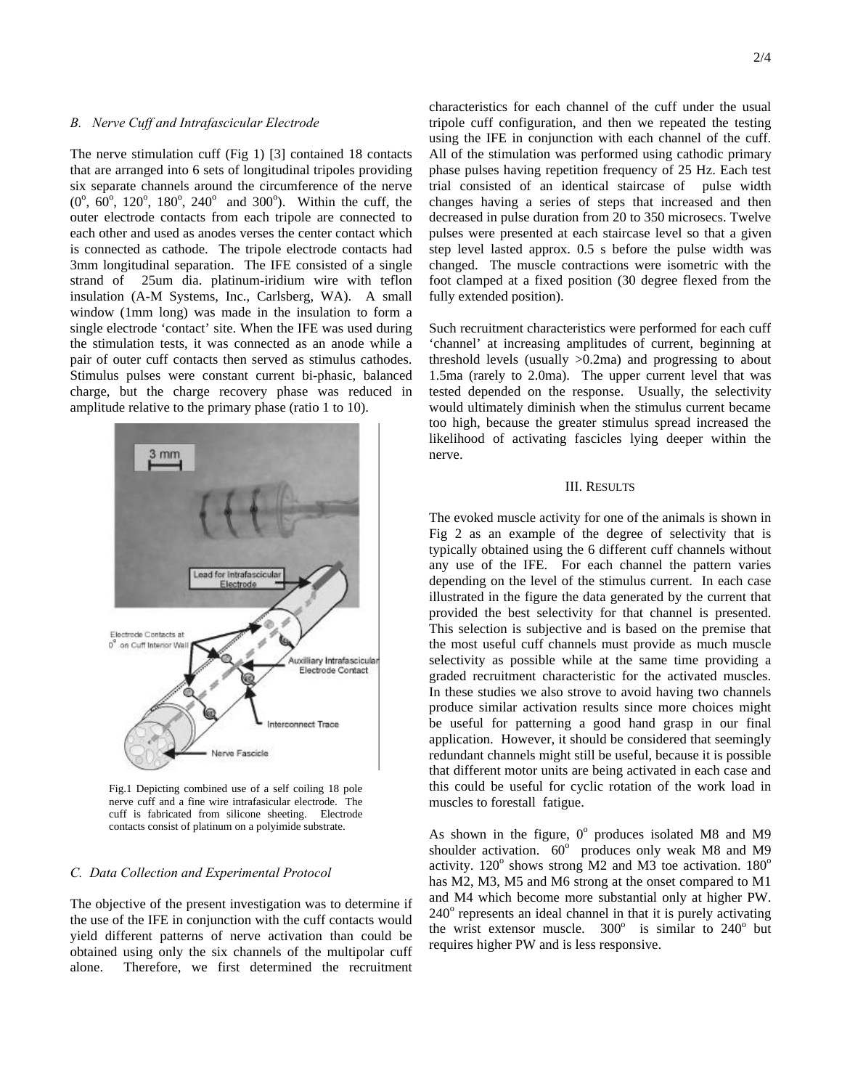## *B. Nerve Cuff and Intrafascicular Electrode*

The nerve stimulation cuff (Fig 1) [3] contained 18 contacts that are arranged into 6 sets of longitudinal tripoles providing six separate channels around the circumference of the nerve  $(0^{\degree}, 60^{\degree}, 120^{\degree}, 180^{\degree}, 240^{\degree}$  and 300°). Within the cuff, the outer electrode contacts from each tripole are connected to each other and used as anodes verses the center contact which is connected as cathode. The tripole electrode contacts had 3mm longitudinal separation. The IFE consisted of a single strand of 25um dia. platinum-iridium wire with teflon insulation (A-M Systems, Inc., Carlsberg, WA). A small window (1mm long) was made in the insulation to form a single electrode 'contact' site. When the IFE was used during the stimulation tests, it was connected as an anode while a pair of outer cuff contacts then served as stimulus cathodes. Stimulus pulses were constant current bi-phasic, balanced charge, but the charge recovery phase was reduced in amplitude relative to the primary phase (ratio 1 to 10).



Fig.1 Depicting combined use of a self coiling 18 pole nerve cuff and a fine wire intrafasicular electrode. The cuff is fabricated from silicone sheeting. Electrode contacts consist of platinum on a polyimide substrate.

#### *C. Data Collection and Experimental Protocol*

The objective of the present investigation was to determine if the use of the IFE in conjunction with the cuff contacts would yield different patterns of nerve activation than could be obtained using only the six channels of the multipolar cuff alone. Therefore, we first determined the recruitment

characteristics for each channel of the cuff under the usual tripole cuff configuration, and then we repeated the testing using the IFE in conjunction with each channel of the cuff. All of the stimulation was performed using cathodic primary phase pulses having repetition frequency of 25 Hz. Each test trial consisted of an identical staircase of pulse width changes having a series of steps that increased and then decreased in pulse duration from 20 to 350 microsecs. Twelve pulses were presented at each staircase level so that a given step level lasted approx. 0.5 s before the pulse width was changed. The muscle contractions were isometric with the foot clamped at a fixed position (30 degree flexed from the fully extended position).

Such recruitment characteristics were performed for each cuff 'channel' at increasing amplitudes of current, beginning at threshold levels (usually  $>0.2$ ma) and progressing to about 1.5ma (rarely to 2.0ma). The upper current level that was tested depended on the response. Usually, the selectivity would ultimately diminish when the stimulus current became too high, because the greater stimulus spread increased the likelihood of activating fascicles lying deeper within the nerve.

## III. RESULTS

The evoked muscle activity for one of the animals is shown in Fig 2 as an example of the degree of selectivity that is typically obtained using the 6 different cuff channels without any use of the IFE. For each channel the pattern varies depending on the level of the stimulus current. In each case illustrated in the figure the data generated by the current that provided the best selectivity for that channel is presented. This selection is subjective and is based on the premise that the most useful cuff channels must provide as much muscle selectivity as possible while at the same time providing a graded recruitment characteristic for the activated muscles. In these studies we also strove to avoid having two channels produce similar activation results since more choices might be useful for patterning a good hand grasp in our final application. However, it should be considered that seemingly redundant channels might still be useful, because it is possible that different motor units are being activated in each case and this could be useful for cyclic rotation of the work load in muscles to forestall fatigue.

As shown in the figure,  $0^{\circ}$  produces isolated M8 and M9 shoulder activation. 60° produces only weak M8 and M9 activity.  $120^{\circ}$  shows strong M2 and M3 toe activation.  $180^{\circ}$ has M2, M3, M5 and M6 strong at the onset compared to M1 and M4 which become more substantial only at higher PW. 240° represents an ideal channel in that it is purely activating the wrist extensor muscle.  $300^{\circ}$  is similar to  $240^{\circ}$  but requires higher PW and is less responsive.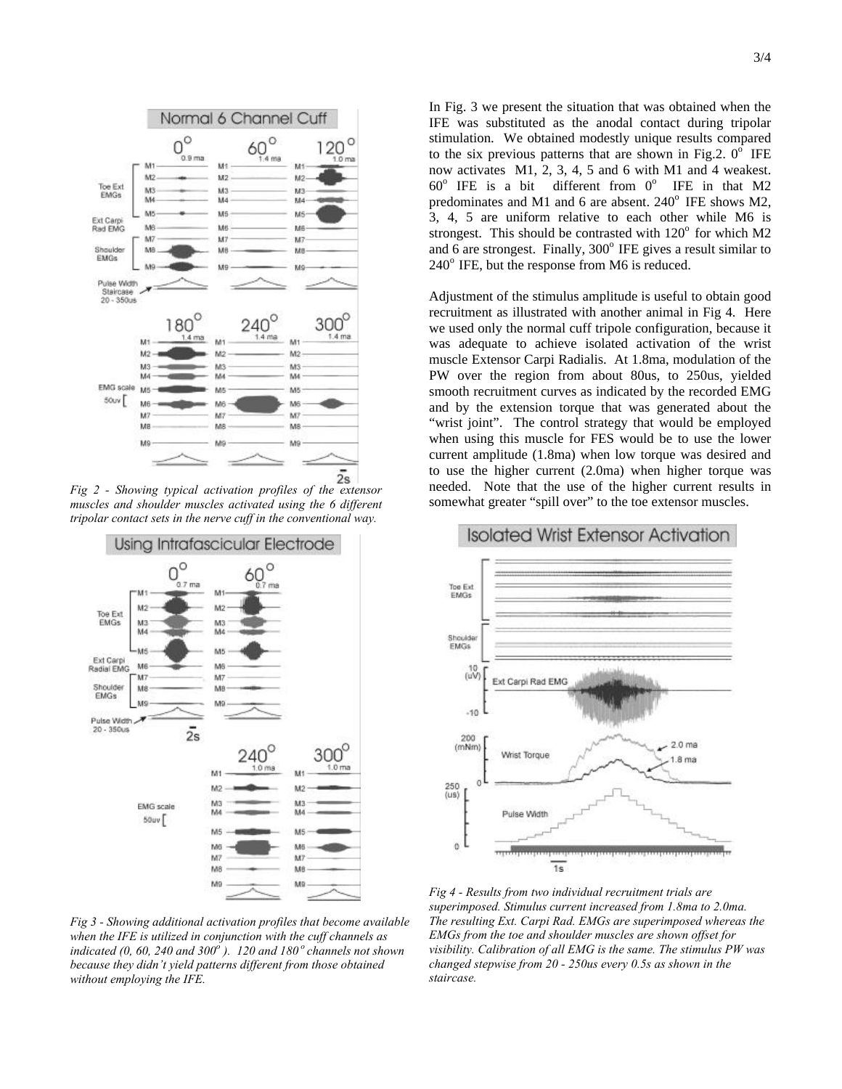

*Fig 2 - Showing typical activation profiles of the extensor muscles and shoulder muscles activated using the 6 different tripolar contact sets in the nerve cuff in the conventional way.*



*Fig 3 - Showing additional activation profiles that become available when the IFE is utilized in conjunction with the cuff channels as indicated (0, 60, 240 and 300<sup>o</sup> ). 120 and 180<sup>o</sup>channels not shown because they didn't yield patterns different from those obtained without employing the IFE.*

In Fig. 3 we present the situation that was obtained when the IFE was substituted as the anodal contact during tripolar stimulation. We obtained modestly unique results compared to the six previous patterns that are shown in Fig.2.  $0^{\circ}$  IFE now activates M1, 2, 3, 4, 5 and 6 with M1 and 4 weakest.  $60^{\circ}$  IFE is a bit different from  $0^{\circ}$  IFE in that M2 predominates and M1 and 6 are absent.  $240^{\circ}$  IFE shows M2, 3, 4, 5 are uniform relative to each other while M6 is strongest. This should be contrasted with  $120^{\circ}$  for which M2 and 6 are strongest. Finally,  $300^\circ$  IFE gives a result similar to  $240^{\circ}$  IFE, but the response from M6 is reduced.

Adjustment of the stimulus amplitude is useful to obtain good recruitment as illustrated with another animal in Fig 4. Here we used only the normal cuff tripole configuration, because it was adequate to achieve isolated activation of the wrist muscle Extensor Carpi Radialis. At 1.8ma, modulation of the PW over the region from about 80us, to 250us, yielded smooth recruitment curves as indicated by the recorded EMG and by the extension torque that was generated about the "wrist joint". The control strategy that would be employed when using this muscle for FES would be to use the lower current amplitude (1.8ma) when low torque was desired and to use the higher current (2.0ma) when higher torque was needed. Note that the use of the higher current results in somewhat greater "spill over" to the toe extensor muscles.



*Fig 4 - Results from two individual recruitment trials are superimposed. Stimulus current increased from 1.8ma to 2.0ma. The resulting Ext. Carpi Rad. EMGs are superimposed whereas the EMGs from the toe and shoulder muscles are shown offset for visibility. Calibration of all EMG is the same. The stimulus PW was changed stepwise from 20 - 250us every 0.5s as shown in the staircase.*